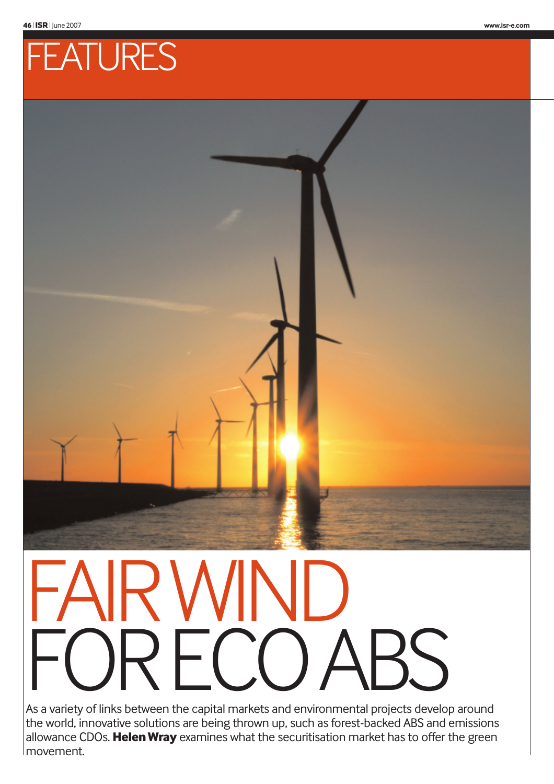

# AIR WINI RFCO,

As a variety of links between the capital markets and environmental projects develop around the world, innovative solutions are being thrown up, such as forest-backed ABS and emissions allowance CDOs. **Helen Wray** examines what the securitisation market has to offer the green movement.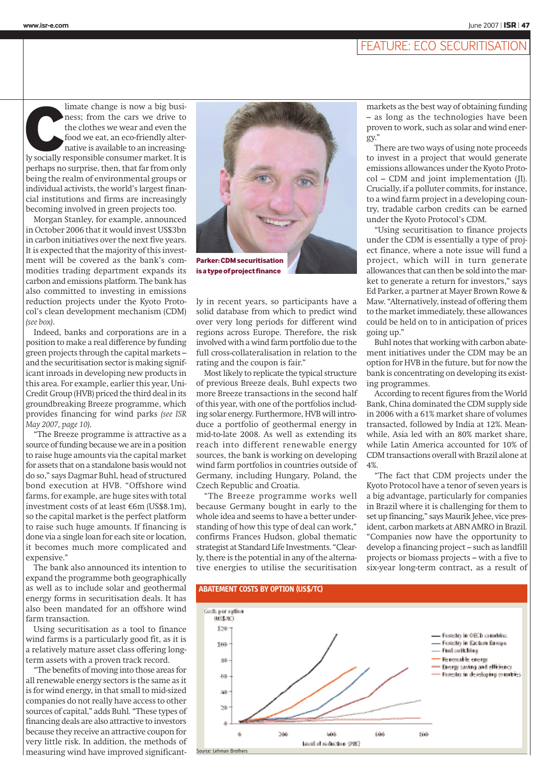### FEATURE: ECO SECURITISATION

limate change is now a big business; from the cars we drive to the clothes we wear and even the food we eat, an eco-friendly alternative is available to an increasing-<br>Iy socially responsible consumer market. It is limate change is now a big business; from the cars we drive to the clothes we wear and even the food we eat, an eco-friendly alternative is available to an increasingperhaps no surprise, then, that far from only being the realm of environmental groups or individual activists, the world's largest financial institutions and firms are increasingly becoming involved in green projects too.

Morgan Stanley, for example, announced in October 2006 that it would invest US\$3bn in carbon initiatives over the next five years. It is expected that the majority of this investment will be covered as the bank's commodities trading department expands its carbon and emissions platform. The bank has also committed to investing in emissions reduction projects under the Kyoto Protocol's clean development mechanism (CDM) *(see box)*.

Indeed, banks and corporations are in a position to make a real difference by funding green projects through the capital markets – and the securitisation sector is making significant inroads in developing new products in this area. For example, earlier this year, Uni-Credit Group (HVB) priced the third deal in its groundbreaking Breeze programme, which provides financing for wind parks *(see ISR May 2007, page 10)*.

"The Breeze programme is attractive as a source of funding because we are in a position to raise huge amounts via the capital market for assets that on a standalone basis would not do so," says Dagmar Buhl, head of structured bond execution at HVB. "Offshore wind farms, for example, are huge sites with total investment costs of at least €6m (US\$8.1m), so the capital market is the perfect platform to raise such huge amounts. If financing is done via a single loan for each site or location, it becomes much more complicated and expensive."

The bank also announced its intention to expand the programme both geographically as well as to include solar and geothermal energy forms in securitisation deals. It has also been mandated for an offshore wind farm transaction.

Using securitisation as a tool to finance wind farms is a particularly good fit, as it is a relatively mature asset class offering longterm assets with a proven track record.

"The benefits of moving into those areas for all renewable energy sectors is the same as it is for wind energy, in that small to mid-sized companies do not really have access to other sources of capital," adds Buhl. "These types of financing deals are also attractive to investors because they receive an attractive coupon for very little risk. In addition, the methods of measuring wind have improved significant-



**is a type of project finance**

ly in recent years, so participants have a solid database from which to predict wind over very long periods for different wind regions across Europe. Therefore, the risk involved with a wind farm portfolio due to the full cross-collateralisation in relation to the rating and the coupon is fair."

Most likely to replicate the typical structure of previous Breeze deals, Buhl expects two more Breeze transactions in the second half of this year, with one of the portfolios including solar energy. Furthermore, HVB will introduce a portfolio of geothermal energy in mid-to-late 2008. As well as extending its reach into different renewable energy sources, the bank is working on developing wind farm portfolios in countries outside of Germany, including Hungary, Poland, the Czech Republic and Croatia.

"The Breeze programme works well because Germany bought in early to the whole idea and seems to have a better understanding of how this type of deal can work," confirms Frances Hudson, global thematic strategist at Standard Life Investments. "Clearly, there is the potential in any of the alternative energies to utilise the securitisation

markets as the best way of obtaining funding – as long as the technologies have been proven to work, such as solar and wind energy."

There are two ways of using note proceeds to invest in a project that would generate emissions allowances under the Kyoto Protocol – CDM and joint implementation (JI). Crucially, if a polluter commits, for instance, to a wind farm project in a developing country, tradable carbon credits can be earned under the Kyoto Protocol's CDM.

"Using securitisation to finance projects under the CDM is essentially a type of project finance, where a note issue will fund a project, which will in turn generate allowances that can then be sold into the market to generate a return for investors," says Ed Parker, a partner at Mayer Brown Rowe & Maw. "Alternatively, instead of offering them to the market immediately, these allowances could be held on to in anticipation of prices going up."

Buhl notes that working with carbon abatement initiatives under the CDM may be an option for HVB in the future, but for now the bank is concentrating on developing its existing programmes.

According to recent figures from the World Bank, China dominated the CDM supply side in 2006 with a 61% market share of volumes transacted, followed by India at 12%. Meanwhile, Asia led with an 80% market share, while Latin America accounted for 10% of CDM transactions overall with Brazil alone at 4%.

"The fact that CDM projects under the Kyoto Protocol have a tenor of seven years is a big advantage, particularly for companies in Brazil where it is challenging for them to set up financing," says Maurik Jehee, vice president, carbon markets at ABN AMRO in Brazil. "Companies now have the opportunity to develop a financing project – such as landfill projects or biomass projects – with a five to six-year long-term contract, as a result of



### **www.isr-e.com** June 2007 | ISR | **47**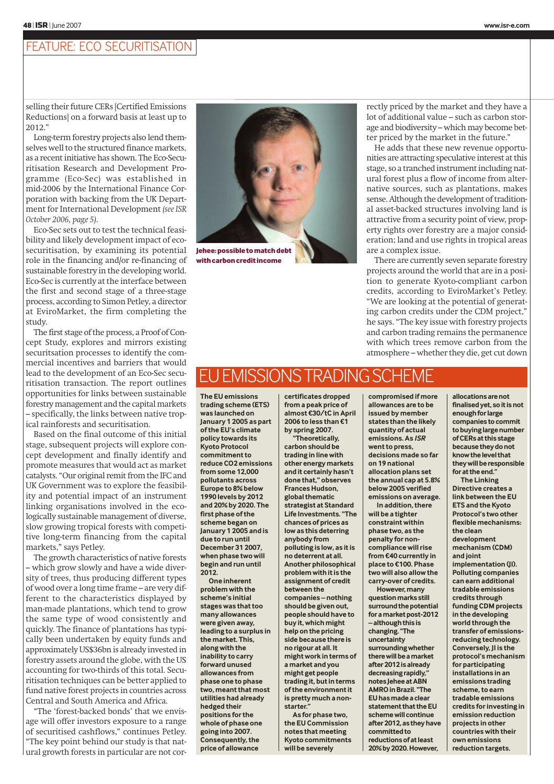## FEATURE: ECO SECURITISATION

selling their future CERs [Certified Emissions Reductions] on a forward basis at least up to 2012."

Long-term forestry projects also lend themselves well to the structured finance markets, as a recent initiative has shown. The Eco-Securitisation Research and Development Programme (Eco-Sec) was established in mid-2006 by the International Finance Corporation with backing from the UK Department for International Development *(see ISR October 2006, page 5)*.

Eco-Sec sets out to test the technical feasibility and likely development impact of ecosecuritisation, by examining its potential role in the financing and/or re-financing of sustainable forestry in the developing world. Eco-Sec is currently at the interface between the first and second stage of a three-stage process, according to Simon Petley, a director at EviroMarket, the firm completing the study.

The first stage of the process, a Proof of Concept Study, explores and mirrors existing securitsation processes to identify the commercial incentives and barriers that would lead to the development of an Eco-Sec securitisation transaction. The report outlines opportunities for links between sustainable forestry management and the capital markets – specifically, the links between native tropical rainforests and securitisation.

Based on the final outcome of this initial stage, subsequent projects will explore concept development and finally identify and promote measures that would act as market catalysts. "Our original remit from the IFC and UK Government was to explore the feasibility and potential impact of an instrument linking organisations involved in the ecologically sustainable management of diverse, slow growing tropical forests with competitive long-term financing from the capital markets," says Petley.

The growth characteristics of native forests – which grow slowly and have a wide diversity of trees, thus producing different types of wood over a long time frame – are very different to the characteristics displayed by man-made plantations, which tend to grow the same type of wood consistently and quickly. The finance of plantations has typically been undertaken by equity funds and approximately US\$36bn is already invested in forestry assets around the globe, with the US accounting for two-thirds of this total. Securitisation techniques can be better applied to fund native forest projects in countries across Central and South America and Africa.

"The 'forest-backed bonds' that we envisage will offer investors exposure to a range of securitised cashflows," continues Petley. "The key point behind our study is that natural growth forests in particular are not cor-



rectly priced by the market and they have a lot of additional value – such as carbon storage and biodiversity – which may become better priced by the market in the future."

He adds that these new revenue opportunities are attracting speculative interest at this stage, so a tranched instrument including natural forest plus a flow of income from alternative sources, such as plantations, makes sense. Although the development of traditional asset-backed structures involving land is attractive from a security point of view, property rights over forestry are a major consideration; land and use rights in tropical areas are a complex issue.

There are currently seven separate forestry projects around the world that are in a position to generate Kyoto-compliant carbon credits, according to EviroMarket's Petley. "We are looking at the potential of generating carbon credits under the CDM project," he says. "The key issue with forestry projects and carbon trading remains the permanence with which trees remove carbon from the atmosphere – whether they die, get cut down

# EMISSIONS TRADING

**The EU emissions trading scheme (ETS) was launched on January 1 2005 as part of the EU's climate policy towards its Kyoto Protocol commitment to reduce CO2 emissions from some 12,000 pollutants across Europe to 8% below 1990 levels by 2012 and 20% by 2020. The first phase of the scheme began on January 1 2005 and is due to run until December 31 2007, when phase two will begin and run until 2012.**

**One inherent problem with the scheme's initial stages was that too many allowances were given away, leading to a surplus in the market. This, along with the inability to carry forward unused allowances from phase one to phase two, meant that most utilities had already hedged their positions for the whole of phase one going into 2007. Consequently, the price of allowance**

**certificates dropped from a peak price of almost €30/tC in April 2006 to less than €1 by spring 2007.**

**"Theoretically, carbon should be trading in line with other energy markets and it certainly hasn't done that," observes Frances Hudson, global thematic strategist at Standard Life Investments. "The chances of prices as low as this deterring anybody from polluting is low, as it is no deterrent at all. Another philosophical problem with it is the assignment of credit between the companies – nothing should be given out, people should have to buy it, which might help on the pricing side because there is no rigour at all. It might work in terms of a market and you might get people trading it, but in terms of the environment it is pretty much a nonstarter." As for phase two,**

**the EU Commission notes that meeting Kyoto commitments will be severely**

**compromised if more allowances are to be issued by member states than the likely quantity of actual emissions. As ISR went to press, decisions made so far on 19 national allocation plans set the annual cap at 5.8% below 2005 verified emissions on average.**

**In addition, there will be a tighter constraint within phase two, as the penalty for noncompliance will rise from €40 currently in place to €100. Phase two will also allow the carry-over of credits.**

**However, many question marks still surround the potential for a market post-2012 – although this is changing. "The uncertainty surrounding whether there will be a market after 2012 is already decreasing rapidly," notes Jehee at ABN AMRO in Brazil. "The EU has made a clear statement that the EU scheme will continue after 2012, as they have committed to reductions of at least 20% by 2020. However,**

**allocations are not finalised yet, so it is not enough for large companies to commit to buying large number of CERs at this stage because they do not know the level that they will be responsible for at the end."**

**The Linking Directive creates a link between the EU ETS and the Kyoto Protocol's two other flexible mechanisms: the clean development mechanism (CDM) and joint implementation (JI). Polluting companies can earn additional tradable emissions credits through funding CDM projects in the developing world through the transfer of emissionsreducing technology. Conversely, JI is the protocol's mechanism for participating installations in an emissions trading scheme, to earn tradable emissions credits for investing in emission reduction projects in other countries with their own emissions reduction targets.**